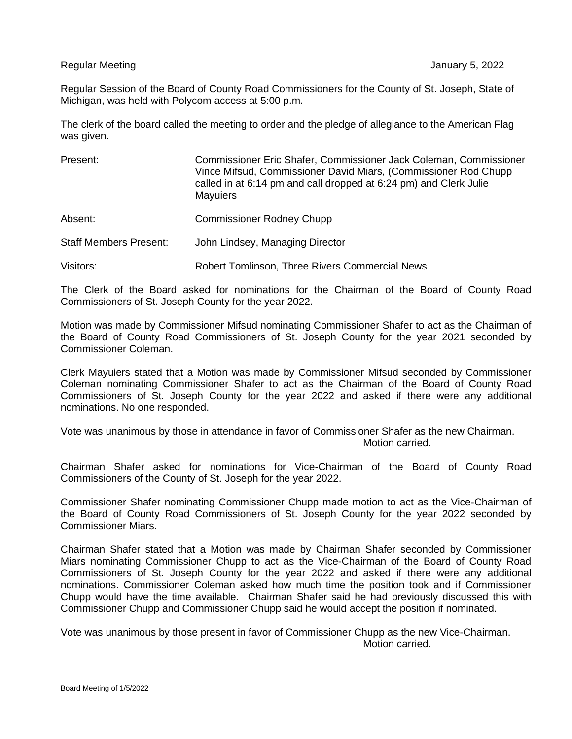Regular Meeting January 5, 2022

Regular Session of the Board of County Road Commissioners for the County of St. Joseph, State of Michigan, was held with Polycom access at 5:00 p.m.

The clerk of the board called the meeting to order and the pledge of allegiance to the American Flag was given.

| Present:                      | Commissioner Eric Shafer, Commissioner Jack Coleman, Commissioner<br>Vince Mifsud, Commissioner David Miars, (Commissioner Rod Chupp<br>called in at 6:14 pm and call dropped at 6:24 pm) and Clerk Julie<br><b>Mayuiers</b> |
|-------------------------------|------------------------------------------------------------------------------------------------------------------------------------------------------------------------------------------------------------------------------|
| Absent:                       | <b>Commissioner Rodney Chupp</b>                                                                                                                                                                                             |
| <b>Staff Members Present:</b> | John Lindsey, Managing Director                                                                                                                                                                                              |
| Visitors:                     | <b>Robert Tomlinson, Three Rivers Commercial News</b>                                                                                                                                                                        |

The Clerk of the Board asked for nominations for the Chairman of the Board of County Road Commissioners of St. Joseph County for the year 2022.

Motion was made by Commissioner Mifsud nominating Commissioner Shafer to act as the Chairman of the Board of County Road Commissioners of St. Joseph County for the year 2021 seconded by Commissioner Coleman.

Clerk Mayuiers stated that a Motion was made by Commissioner Mifsud seconded by Commissioner Coleman nominating Commissioner Shafer to act as the Chairman of the Board of County Road Commissioners of St. Joseph County for the year 2022 and asked if there were any additional nominations. No one responded.

Vote was unanimous by those in attendance in favor of Commissioner Shafer as the new Chairman. Motion carried.

Chairman Shafer asked for nominations for Vice-Chairman of the Board of County Road Commissioners of the County of St. Joseph for the year 2022.

Commissioner Shafer nominating Commissioner Chupp made motion to act as the Vice-Chairman of the Board of County Road Commissioners of St. Joseph County for the year 2022 seconded by Commissioner Miars.

Chairman Shafer stated that a Motion was made by Chairman Shafer seconded by Commissioner Miars nominating Commissioner Chupp to act as the Vice-Chairman of the Board of County Road Commissioners of St. Joseph County for the year 2022 and asked if there were any additional nominations. Commissioner Coleman asked how much time the position took and if Commissioner Chupp would have the time available. Chairman Shafer said he had previously discussed this with Commissioner Chupp and Commissioner Chupp said he would accept the position if nominated.

Vote was unanimous by those present in favor of Commissioner Chupp as the new Vice-Chairman. Motion carried.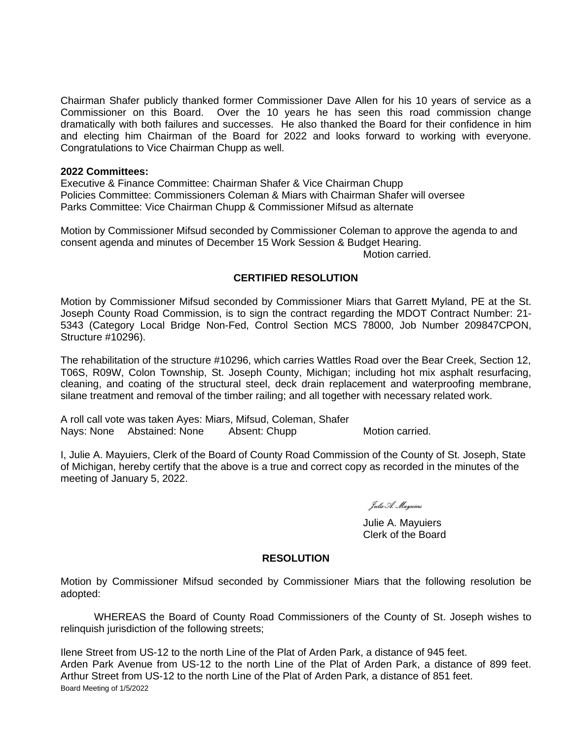Chairman Shafer publicly thanked former Commissioner Dave Allen for his 10 years of service as a Commissioner on this Board. Over the 10 years he has seen this road commission change dramatically with both failures and successes. He also thanked the Board for their confidence in him and electing him Chairman of the Board for 2022 and looks forward to working with everyone. Congratulations to Vice Chairman Chupp as well.

## **2022 Committees:**

Executive & Finance Committee: Chairman Shafer & Vice Chairman Chupp Policies Committee: Commissioners Coleman & Miars with Chairman Shafer will oversee Parks Committee: Vice Chairman Chupp & Commissioner Mifsud as alternate

Motion by Commissioner Mifsud seconded by Commissioner Coleman to approve the agenda to and consent agenda and minutes of December 15 Work Session & Budget Hearing.

Motion carried.

## **CERTIFIED RESOLUTION**

Motion by Commissioner Mifsud seconded by Commissioner Miars that Garrett Myland, PE at the St. Joseph County Road Commission, is to sign the contract regarding the MDOT Contract Number: 21- 5343 (Category Local Bridge Non-Fed, Control Section MCS 78000, Job Number 209847CPON, Structure #10296).

The rehabilitation of the structure #10296, which carries Wattles Road over the Bear Creek, Section 12, T06S, R09W, Colon Township, St. Joseph County, Michigan; including hot mix asphalt resurfacing, cleaning, and coating of the structural steel, deck drain replacement and waterproofing membrane, silane treatment and removal of the timber railing; and all together with necessary related work.

A roll call vote was taken Ayes: Miars, Mifsud, Coleman, Shafer Nays: None Abstained: None Absent: Chupp Motion carried.

I, Julie A. Mayuiers, Clerk of the Board of County Road Commission of the County of St. Joseph, State of Michigan, hereby certify that the above is a true and correct copy as recorded in the minutes of the meeting of January 5, 2022.

Julie A. Mayuiers

Julie A. Mayuiers Clerk of the Board

## **RESOLUTION**

Motion by Commissioner Mifsud seconded by Commissioner Miars that the following resolution be adopted:

WHEREAS the Board of County Road Commissioners of the County of St. Joseph wishes to relinquish jurisdiction of the following streets;

Board Meeting of 1/5/2022 Ilene Street from US-12 to the north Line of the Plat of Arden Park, a distance of 945 feet. Arden Park Avenue from US-12 to the north Line of the Plat of Arden Park, a distance of 899 feet. Arthur Street from US-12 to the north Line of the Plat of Arden Park, a distance of 851 feet.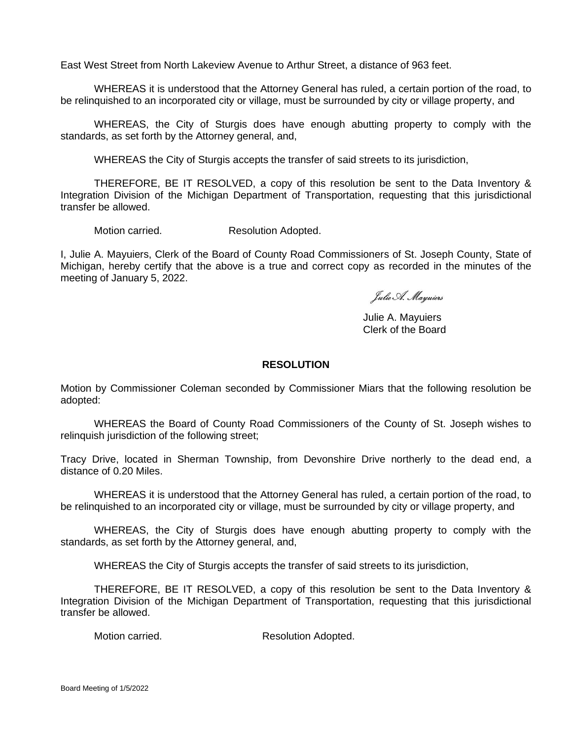East West Street from North Lakeview Avenue to Arthur Street, a distance of 963 feet.

WHEREAS it is understood that the Attorney General has ruled, a certain portion of the road, to be relinquished to an incorporated city or village, must be surrounded by city or village property, and

WHEREAS, the City of Sturgis does have enough abutting property to comply with the standards, as set forth by the Attorney general, and,

WHEREAS the City of Sturgis accepts the transfer of said streets to its jurisdiction,

THEREFORE, BE IT RESOLVED, a copy of this resolution be sent to the Data Inventory & Integration Division of the Michigan Department of Transportation, requesting that this jurisdictional transfer be allowed.

Motion carried. Resolution Adopted.

I, Julie A. Mayuiers, Clerk of the Board of County Road Commissioners of St. Joseph County, State of Michigan, hereby certify that the above is a true and correct copy as recorded in the minutes of the meeting of January 5, 2022.

Julie A. Mayuiers

Julie A. Mayuiers Clerk of the Board

## **RESOLUTION**

Motion by Commissioner Coleman seconded by Commissioner Miars that the following resolution be adopted:

WHEREAS the Board of County Road Commissioners of the County of St. Joseph wishes to relinquish jurisdiction of the following street;

Tracy Drive, located in Sherman Township, from Devonshire Drive northerly to the dead end, a distance of 0.20 Miles.

WHEREAS it is understood that the Attorney General has ruled, a certain portion of the road, to be relinquished to an incorporated city or village, must be surrounded by city or village property, and

WHEREAS, the City of Sturgis does have enough abutting property to comply with the standards, as set forth by the Attorney general, and,

WHEREAS the City of Sturgis accepts the transfer of said streets to its jurisdiction,

THEREFORE, BE IT RESOLVED, a copy of this resolution be sent to the Data Inventory & Integration Division of the Michigan Department of Transportation, requesting that this jurisdictional transfer be allowed.

Motion carried. The Secolution Adopted.